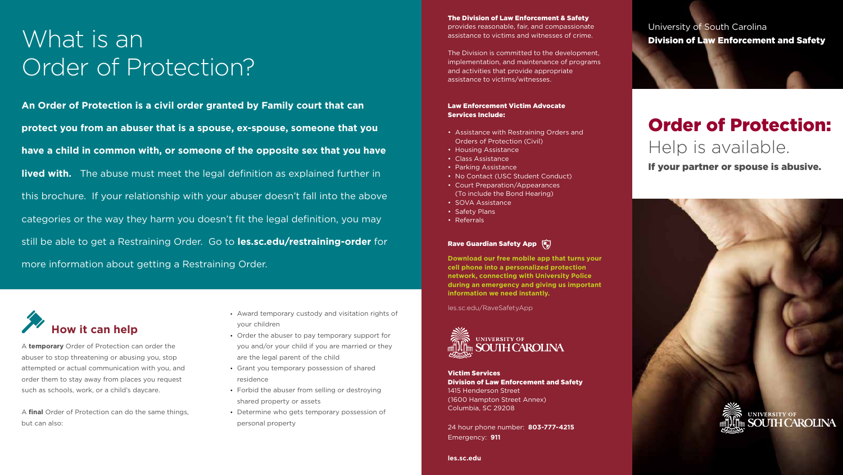- Award temporary custody and visitation rights of your children
- Order the abuser to pay temporary support for you and/or your child if you are married or they are the legal parent of the child
- Grant you temporary possession of shared residence
- Forbid the abuser from selling or destroying shared property or assets
- Determine who gets temporary possession of personal property

# sprovides reasonable, fair, and compassionate University of South Carolina<br>assistance to victims and witnesses of crime.<br>The Division is and What is an University of South Carolina **Division of Law Enforcement and Safety** Order of Protection?

**An Order of Protection is a civil order granted by Family court that can protect you from an abuser that is a spouse, ex-spouse, someone that you have a child in common with, or someone of the opposite sex that you have lived with.** The abuse must meet the legal definition as explained further in this brochure. If your relationship with your abuser doesn't fall into the above categories or the way they harm you doesn't fit the legal definition, you may still be able to get a Restraining Order. Go to **les.sc.edu/restraining-order** for more information about getting a Restraining Order.

## Order of Protection: Help is available.



A **temporary** Order of Protection can order the abuser to stop threatening or abusing you, stop attempted or actual communication with you, and order them to stay away from places you request such as schools, work, or a child's daycare.

A **final** Order of Protection can do the same things, but can also:

Victim Services Division of Law Enforcement and Safety 1415 Henderson Street (1600 Hampton Street Annex) Columbia, SC 29208

24 hour phone number: **803-777-4215** Emergency: **911**

**les.sc.edu**

## The Division of Law Enforcement & Safety

provides reasonable, fair, and compassionate assistance to victims and witnesses of crime.

The Division is committed to the development, implementation, and maintenance of programs and activities that provide appropriate assistance to victims/witnesses.

### Law Enforcement Victim Advocate Services Include:

- Assistance with Restraining Orders and Orders of Protection (Civil)
- Housing Assistance
- Class Assistance
- Parking Assistance
- No Contact (USC Student Conduct)
- Court Preparation/Appearances (To include the Bond Hearing)
- SOVA Assistance
- Safety Plans
- Referrals

## Rave Guardian Safety App

**Download our free mobile app that turns your cell phone into a personalized protection network, connecting with University Police during an emergency and giving us important information we need instantly.**

les.sc.edu/RaveSafetyApp



If your partner or spouse is abusive.